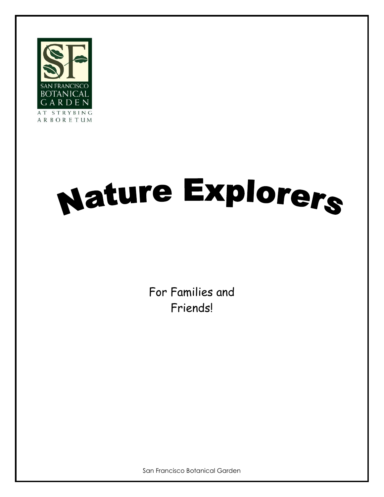

# Nature Explorers

For Families and Friends!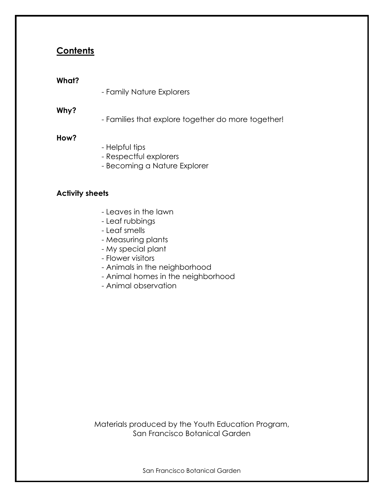# **Contents**

#### **What?**

- Family Nature Explorers

## **Why?**

- Families that explore together do more together!

#### **How?**

- Helpful tips
- Respectful explorers
- Becoming a Nature Explorer

## **Activity sheets**

- Leaves in the lawn
- Leaf rubbings
- Leaf smells
- Measuring plants
- My special plant
- Flower visitors
- Animals in the neighborhood
- Animal homes in the neighborhood
- Animal observation

Materials produced by the Youth Education Program, San Francisco Botanical Garden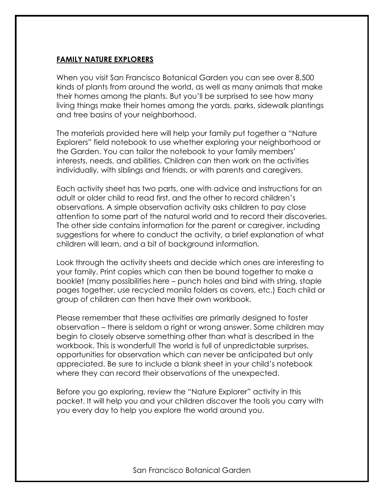# **FAMILY NATURE EXPLORERS**

When you visit San Francisco Botanical Garden you can see over 8,500 kinds of plants from around the world, as well as many animals that make their homes among the plants. But you'll be surprised to see how many living things make their homes among the yards, parks, sidewalk plantings and tree basins of your neighborhood.

The materials provided here will help your family put together a "Nature Explorers" field notebook to use whether exploring your neighborhood or the Garden. You can tailor the notebook to your family members' interests, needs, and abilities. Children can then work on the activities individually, with siblings and friends, or with parents and caregivers.

Each activity sheet has two parts, one with advice and instructions for an adult or older child to read first, and the other to record children's observations. A simple observation activity asks children to pay close attention to some part of the natural world and to record their discoveries. The other side contains information for the parent or caregiver, including suggestions for where to conduct the activity, a brief explanation of what children will learn, and a bit of background information.

Look through the activity sheets and decide which ones are interesting to your family. Print copies which can then be bound together to make a booklet (many possibilities here – punch holes and bind with string, staple pages together, use recycled manila folders as covers, etc.) Each child or group of children can then have their own workbook.

Please remember that these activities are primarily designed to foster observation – there is seldom a right or wrong answer. Some children may begin to closely observe something other than what is described in the workbook. This is wonderful! The world is full of unpredictable surprises, opportunities for observation which can never be anticipated but only appreciated. Be sure to include a blank sheet in your child's notebook where they can record their observations of the unexpected.

Before you go exploring, review the "Nature Explorer" activity in this packet. It will help you and your children discover the tools you carry with you every day to help you explore the world around you.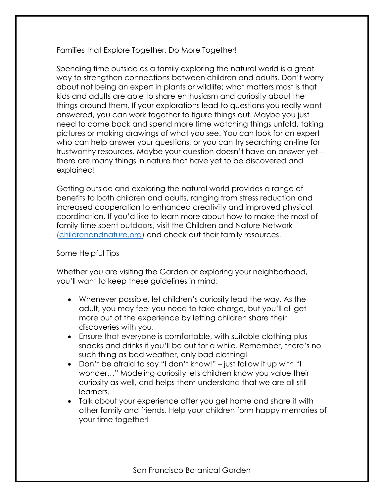# Families that Explore Together, Do More Together!

Spending time outside as a family exploring the natural world is a great way to strengthen connections between children and adults. Don't worry about not being an expert in plants or wildlife; what matters most is that kids and adults are able to share enthusiasm and curiosity about the things around them. If your explorations lead to questions you really want answered, you can work together to figure things out. Maybe you just need to come back and spend more time watching things unfold, taking pictures or making drawings of what you see. You can look for an expert who can help answer your questions, or you can try searching on-line for trustworthy resources. Maybe your question doesn't have an answer yet – there are many things in nature that have yet to be discovered and explained!

Getting outside and exploring the natural world provides a range of benefits to both children and adults, ranging from stress reduction and increased cooperation to enhanced creativity and improved physical coordination. If you'd like to learn more about how to make the most of family time spent outdoors, visit the Children and Nature Network [\(childrenandnature.org\)](http://www.childrenandnature.org/) and check out their family resources.

# Some Helpful Tips

Whether you are visiting the Garden or exploring your neighborhood, you'll want to keep these guidelines in mind:

- Whenever possible, let children's curiosity lead the way. As the adult, you may feel you need to take charge, but you'll all get more out of the experience by letting children share their discoveries with you.
- Ensure that everyone is comfortable, with suitable clothing plus snacks and drinks if you'll be out for a while. Remember, there's no such thing as bad weather, only bad clothing!
- Don't be afraid to say "I don't know!" just follow it up with "I wonder…" Modeling curiosity lets children know you value their curiosity as well, and helps them understand that we are all still learners.
- Talk about your experience after you get home and share it with other family and friends. Help your children form happy memories of your time together!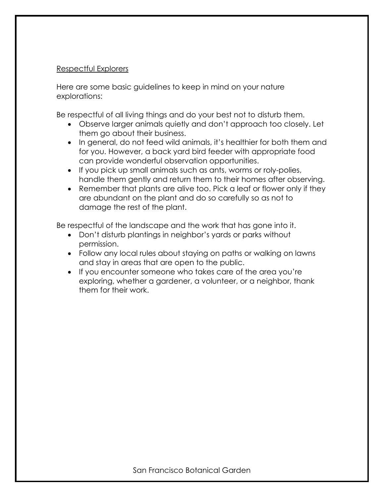# Respectful Explorers

Here are some basic guidelines to keep in mind on your nature explorations:

Be respectful of all living things and do your best not to disturb them.

- Observe larger animals quietly and don't approach too closely. Let them go about their business.
- In general, do not feed wild animals, it's healthier for both them and for you. However, a back yard bird feeder with appropriate food can provide wonderful observation opportunities.
- If you pick up small animals such as ants, worms or roly-polies, handle them gently and return them to their homes after observing.
- Remember that plants are alive too. Pick a leaf or flower only if they are abundant on the plant and do so carefully so as not to damage the rest of the plant.

Be respectful of the landscape and the work that has gone into it.

- Don't disturb plantings in neighbor's yards or parks without permission.
- Follow any local rules about staying on paths or walking on lawns and stay in areas that are open to the public.
- If you encounter someone who takes care of the area you're exploring, whether a gardener, a volunteer, or a neighbor, thank them for their work.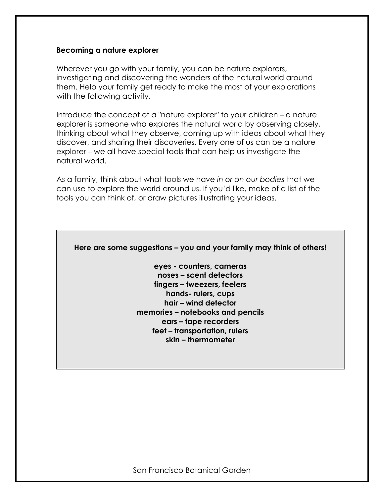#### **Becoming a nature explorer**

Wherever you go with your family, you can be nature explorers, investigating and discovering the wonders of the natural world around them. Help your family get ready to make the most of your explorations with the following activity.

Introduce the concept of a "nature explorer" to your children – a nature explorer is someone who explores the natural world by observing closely, thinking about what they observe, coming up with ideas about what they discover, and sharing their discoveries. Every one of us can be a nature explorer – we all have special tools that can help us investigate the natural world.

As a family, think about what tools we have *in or on our bodies* that we can use to explore the world around us. If you'd like, make of a list of the tools you can think of, or draw pictures illustrating your ideas.

**Here are some suggestions – you and your family may think of others!**

**eyes - counters, cameras noses – scent detectors fingers – tweezers, feelers hands- rulers, cups hair – wind detector memories – notebooks and pencils ears – tape recorders feet – transportation, rulers skin – thermometer**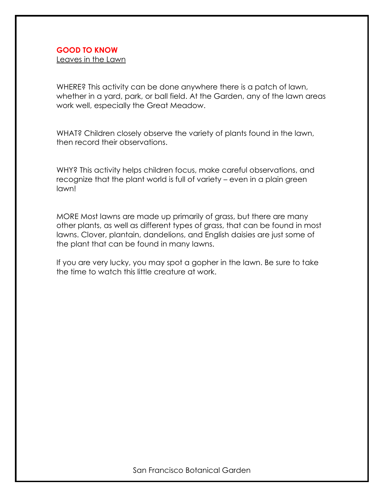Leaves in the Lawn

WHERE? This activity can be done anywhere there is a patch of lawn, whether in a yard, park, or ball field. At the Garden, any of the lawn areas work well, especially the Great Meadow.

WHAT? Children closely observe the variety of plants found in the lawn, then record their observations.

WHY? This activity helps children focus, make careful observations, and recognize that the plant world is full of variety – even in a plain green lawn!

MORE Most lawns are made up primarily of grass, but there are many other plants, as well as different types of grass, that can be found in most lawns. Clover, plantain, dandelions, and English daisies are just some of the plant that can be found in many lawns.

If you are very lucky, you may spot a gopher in the lawn. Be sure to take the time to watch this little creature at work.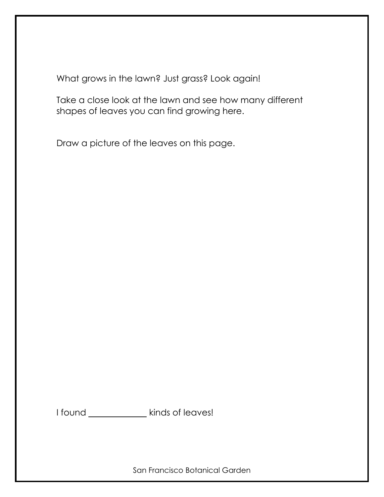What grows in the lawn? Just grass? Look again!

Take a close look at the lawn and see how many different shapes of leaves you can find growing here.

Draw a picture of the leaves on this page.

| I found |  |  |  | kinds of leaves! |
|---------|--|--|--|------------------|
|---------|--|--|--|------------------|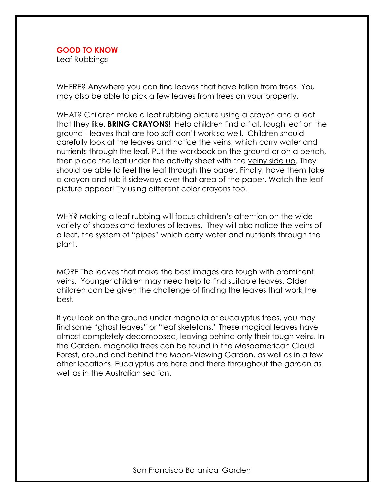WHERE? Anywhere you can find leaves that have fallen from trees. You may also be able to pick a few leaves from trees on your property.

WHAT? Children make a leaf rubbing picture using a crayon and a leaf that they like. **BRING CRAYONS!** Help children find a flat, tough leaf on the ground - leaves that are too soft don't work so well. Children should carefully look at the leaves and notice the veins, which carry water and nutrients through the leaf. Put the workbook on the ground or on a bench, then place the leaf under the activity sheet with the veiny side up. They should be able to feel the leaf through the paper. Finally, have them take a crayon and rub it sideways over that area of the paper. Watch the leaf picture appear! Try using different color crayons too.

WHY? Making a leaf rubbing will focus children's attention on the wide variety of shapes and textures of leaves. They will also notice the veins of a leaf, the system of "pipes" which carry water and nutrients through the plant.

MORE The leaves that make the best images are tough with prominent veins. Younger children may need help to find suitable leaves. Older children can be given the challenge of finding the leaves that work the best.

If you look on the ground under magnolia or eucalyptus trees, you may find some "ghost leaves" or "leaf skeletons." These magical leaves have almost completely decomposed, leaving behind only their tough veins. In the Garden, magnolia trees can be found in the Mesoamerican Cloud Forest, around and behind the Moon-Viewing Garden, as well as in a few other locations. Eucalyptus are here and there throughout the garden as well as in the Australian section.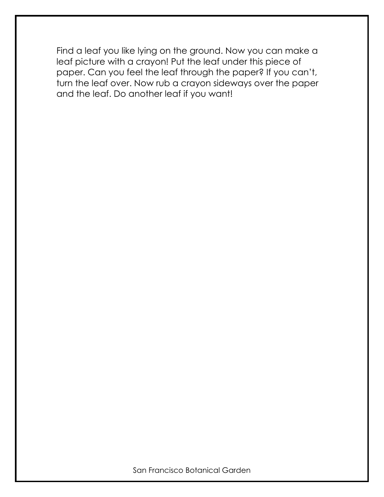Find a leaf you like lying on the ground. Now you can make a leaf picture with a crayon! Put the leaf under this piece of paper. Can you feel the leaf through the paper? If you can't, turn the leaf over. Now rub a crayon sideways over the paper and the leaf. Do another leaf if you want!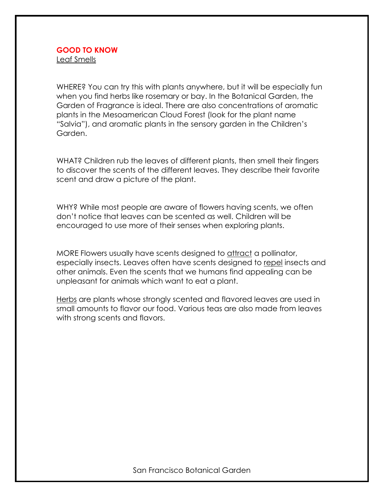WHERE? You can try this with plants anywhere, but it will be especially fun when you find herbs like rosemary or bay. In the Botanical Garden, the Garden of Fragrance is ideal. There are also concentrations of aromatic plants in the Mesoamerican Cloud Forest (look for the plant name "Salvia"), and aromatic plants in the sensory garden in the Children's Garden.

WHAT? Children rub the leaves of different plants, then smell their fingers to discover the scents of the different leaves. They describe their favorite scent and draw a picture of the plant.

WHY? While most people are aware of flowers having scents, we often don't notice that leaves can be scented as well. Children will be encouraged to use more of their senses when exploring plants.

MORE Flowers usually have scents designed to attract a pollinator, especially insects. Leaves often have scents designed to repel insects and other animals. Even the scents that we humans find appealing can be unpleasant for animals which want to eat a plant.

Herbs are plants whose strongly scented and flavored leaves are used in small amounts to flavor our food. Various teas are also made from leaves with strong scents and flavors.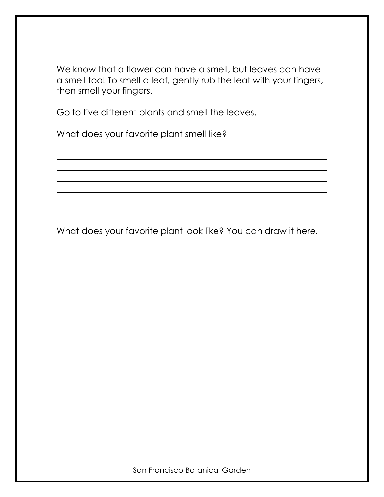We know that a flower can have a smell, but leaves can have a smell too! To smell a leaf, gently rub the leaf with your fingers, then smell your fingers.

Go to five different plants and smell the leaves.

What does your favorite plant smell like?

What does your favorite plant look like? You can draw it here.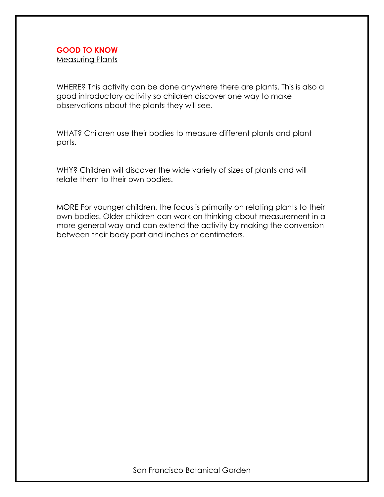Measuring Plants

WHERE? This activity can be done anywhere there are plants. This is also a good introductory activity so children discover one way to make observations about the plants they will see.

WHAT? Children use their bodies to measure different plants and plant parts.

WHY? Children will discover the wide variety of sizes of plants and will relate them to their own bodies.

MORE For younger children, the focus is primarily on relating plants to their own bodies. Older children can work on thinking about measurement in a more general way and can extend the activity by making the conversion between their body part and inches or centimeters.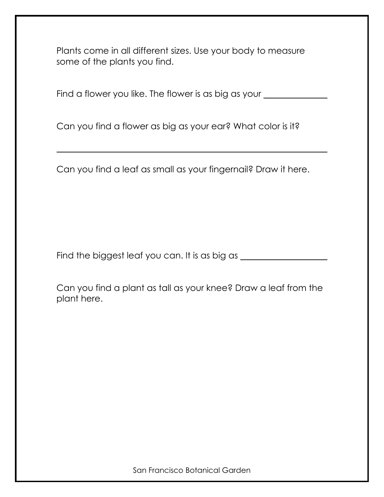Plants come in all different sizes. Use your body to measure some of the plants you find.

Find a flower you like. The flower is as big as your \_\_\_\_\_\_\_\_\_\_\_\_\_\_\_\_\_\_\_\_\_\_\_\_\_\_\_

Can you find a flower as big as your ear? What color is it?

Can you find a leaf as small as your fingernail? Draw it here.

Find the biggest leaf you can. It is as big as **with the summands** 

Can you find a plant as tall as your knee? Draw a leaf from the plant here.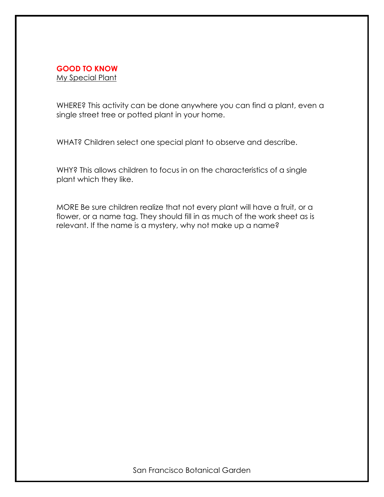#### **GOOD TO KNOW** My Special Plant

WHERE? This activity can be done anywhere you can find a plant, even a single street tree or potted plant in your home.

WHAT? Children select one special plant to observe and describe.

WHY? This allows children to focus in on the characteristics of a single plant which they like.

MORE Be sure children realize that not every plant will have a fruit, or a flower, or a name tag. They should fill in as much of the work sheet as is relevant. If the name is a mystery, why not make up a name?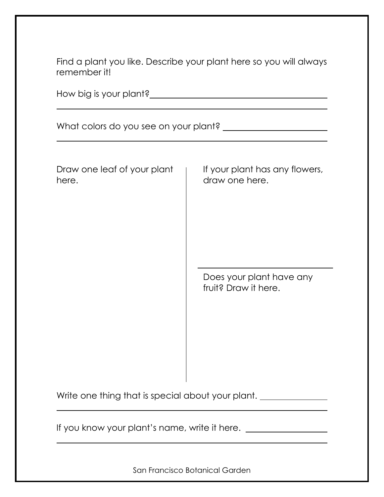| Find a plant you like. Describe your plant here so you will always<br>remember it! |                                                                                                      |  |  |  |
|------------------------------------------------------------------------------------|------------------------------------------------------------------------------------------------------|--|--|--|
|                                                                                    |                                                                                                      |  |  |  |
|                                                                                    |                                                                                                      |  |  |  |
| Draw one leaf of your plant<br>here.                                               | If your plant has any flowers,<br>draw one here.<br>Does your plant have any<br>fruit? Draw it here. |  |  |  |

Write one thing that is special about your plant. \_\_\_\_\_\_\_\_\_\_\_\_\_\_\_\_\_\_\_\_\_\_\_\_\_\_\_\_\_\_

If you know your plant's name, write it here. \_\_\_\_\_\_\_\_\_\_\_\_\_\_\_\_\_\_\_\_\_\_\_\_\_\_\_\_\_\_\_\_\_\_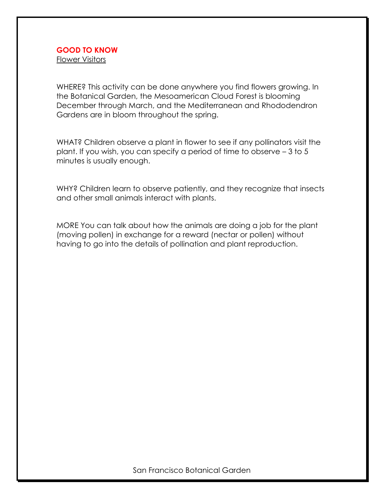Flower Visitors

WHERE? This activity can be done anywhere you find flowers growing. In the Botanical Garden, the Mesoamerican Cloud Forest is blooming December through March, and the Mediterranean and Rhododendron Gardens are in bloom throughout the spring.

WHAT? Children observe a plant in flower to see if any pollinators visit the plant. If you wish, you can specify a period of time to observe – 3 to 5 minutes is usually enough.

WHY? Children learn to observe patiently, and they recognize that insects and other small animals interact with plants.

MORE You can talk about how the animals are doing a job for the plant (moving pollen) in exchange for a reward (nectar or pollen) without having to go into the details of pollination and plant reproduction.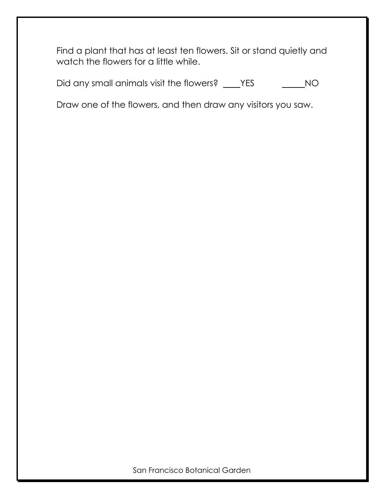Find a plant that has at least ten flowers. Sit or stand quietly and watch the flowers for a little while.

Did any small animals visit the flowers? \_\_\_\_YES \_\_\_\_\_\_\_\_NO

Draw one of the flowers, and then draw any visitors you saw.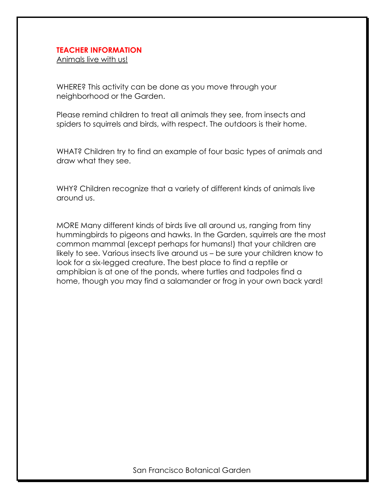#### **TEACHER INFORMATION**

Animals live with us!

WHERE? This activity can be done as you move through your neighborhood or the Garden.

Please remind children to treat all animals they see, from insects and spiders to squirrels and birds, with respect. The outdoors is their home.

WHAT? Children try to find an example of four basic types of animals and draw what they see.

WHY? Children recognize that a variety of different kinds of animals live around us.

MORE Many different kinds of birds live all around us, ranging from tiny hummingbirds to pigeons and hawks. In the Garden, squirrels are the most common mammal (except perhaps for humans!) that your children are likely to see. Various insects live around us – be sure your children know to look for a six-legged creature. The best place to find a reptile or amphibian is at one of the ponds, where turtles and tadpoles find a home, though you may find a salamander or frog in your own back yard!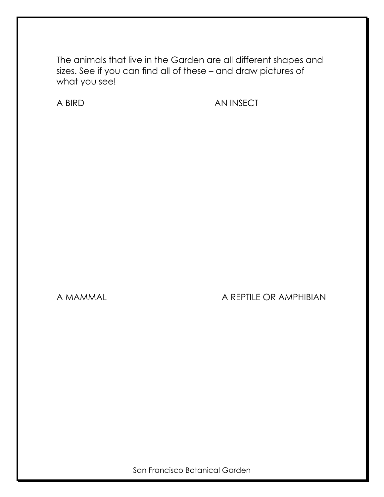The animals that live in the Garden are all different shapes and sizes. See if you can find all of these – and draw pictures of what you see!

A BIRD AN INSECT

# A MAMMAL A REPTILE OR AMPHIBIAN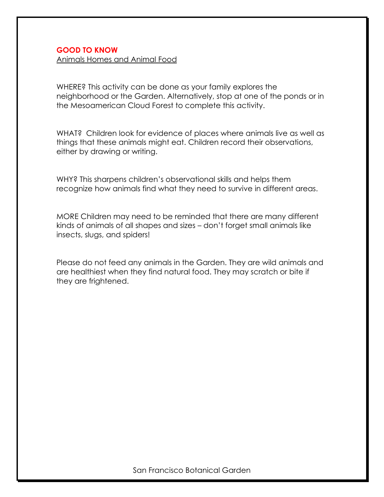Animals Homes and Animal Food

WHERE? This activity can be done as your family explores the neighborhood or the Garden. Alternatively, stop at one of the ponds or in the Mesoamerican Cloud Forest to complete this activity.

WHAT? Children look for evidence of places where animals live as well as things that these animals might eat. Children record their observations, either by drawing or writing.

WHY? This sharpens children's observational skills and helps them recognize how animals find what they need to survive in different areas.

MORE Children may need to be reminded that there are many different kinds of animals of all shapes and sizes – don't forget small animals like insects, slugs, and spiders!

Please do not feed any animals in the Garden. They are wild animals and are healthiest when they find natural food. They may scratch or bite if they are frightened.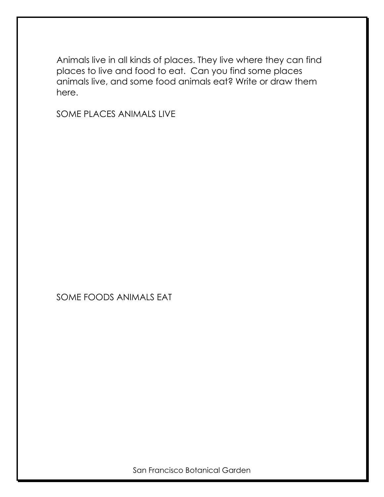Animals live in all kinds of places. They live where they can find places to live and food to eat. Can you find some places animals live, and some food animals eat? Write or draw them here.

SOME PLACES ANIMALS LIVE

# SOME FOODS ANIMALS EAT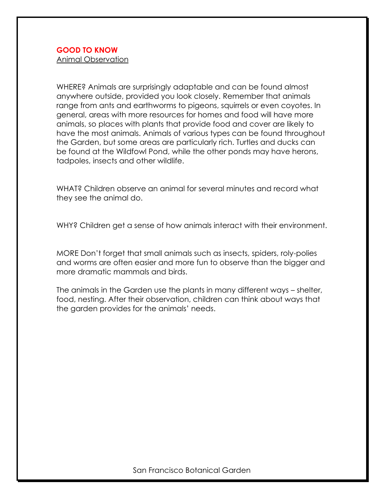Animal Observation

WHERE? Animals are surprisingly adaptable and can be found almost anywhere outside, provided you look closely. Remember that animals range from ants and earthworms to pigeons, squirrels or even coyotes. In general, areas with more resources for homes and food will have more animals, so places with plants that provide food and cover are likely to have the most animals. Animals of various types can be found throughout the Garden, but some areas are particularly rich. Turtles and ducks can be found at the Wildfowl Pond, while the other ponds may have herons, tadpoles, insects and other wildlife.

WHAT? Children observe an animal for several minutes and record what they see the animal do.

WHY? Children get a sense of how animals interact with their environment.

MORE Don't forget that small animals such as insects, spiders, roly-polies and worms are often easier and more fun to observe than the bigger and more dramatic mammals and birds.

The animals in the Garden use the plants in many different ways – shelter, food, nesting. After their observation, children can think about ways that the garden provides for the animals' needs.